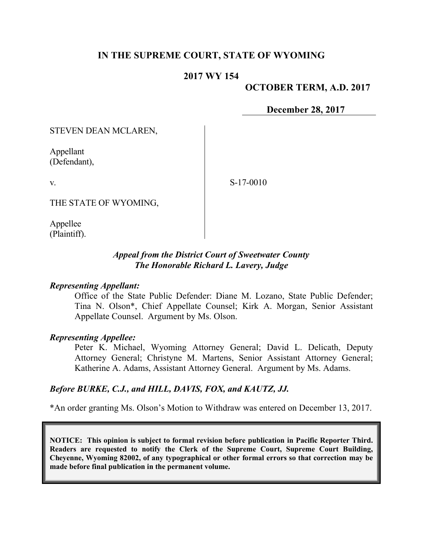## **IN THE SUPREME COURT, STATE OF WYOMING**

### **2017 WY 154**

**OCTOBER TERM, A.D. 2017**

**December 28, 2017**

STEVEN DEAN MCLAREN,

Appellant (Defendant),

v.

S-17-0010

THE STATE OF WYOMING,

Appellee (Plaintiff).

#### *Appeal from the District Court of Sweetwater County The Honorable Richard L. Lavery, Judge*

#### *Representing Appellant:*

Office of the State Public Defender: Diane M. Lozano, State Public Defender; Tina N. Olson\*, Chief Appellate Counsel; Kirk A. Morgan, Senior Assistant Appellate Counsel. Argument by Ms. Olson.

#### *Representing Appellee:*

Peter K. Michael, Wyoming Attorney General; David L. Delicath, Deputy Attorney General; Christyne M. Martens, Senior Assistant Attorney General; Katherine A. Adams, Assistant Attorney General. Argument by Ms. Adams.

#### *Before BURKE, C.J., and HILL, DAVIS, FOX, and KAUTZ, JJ.*

\*An order granting Ms. Olson's Motion to Withdraw was entered on December 13, 2017.

**NOTICE: This opinion is subject to formal revision before publication in Pacific Reporter Third. Readers are requested to notify the Clerk of the Supreme Court, Supreme Court Building, Cheyenne, Wyoming 82002, of any typographical or other formal errors so that correction may be made before final publication in the permanent volume.**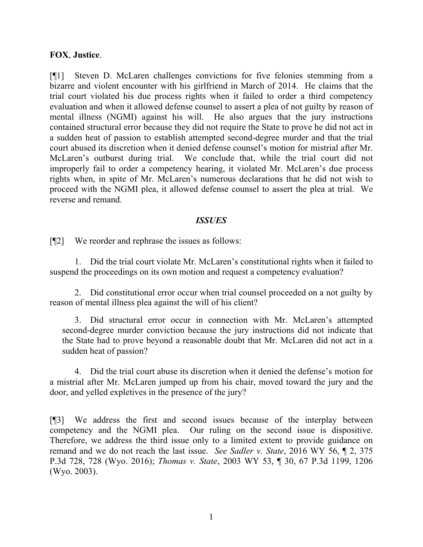### **FOX**, **Justice**.

[¶1] Steven D. McLaren challenges convictions for five felonies stemming from a bizarre and violent encounter with his girlfriend in March of 2014. He claims that the trial court violated his due process rights when it failed to order a third competency evaluation and when it allowed defense counsel to assert a plea of not guilty by reason of mental illness (NGMI) against his will. He also argues that the jury instructions contained structural error because they did not require the State to prove he did not act in a sudden heat of passion to establish attempted second-degree murder and that the trial court abused its discretion when it denied defense counsel's motion for mistrial after Mr. McLaren's outburst during trial. We conclude that, while the trial court did not improperly fail to order a competency hearing, it violated Mr. McLaren's due process rights when, in spite of Mr. McLaren's numerous declarations that he did not wish to proceed with the NGMI plea, it allowed defense counsel to assert the plea at trial. We reverse and remand.

### *ISSUES*

[¶2] We reorder and rephrase the issues as follows:

1. Did the trial court violate Mr. McLaren's constitutional rights when it failed to suspend the proceedings on its own motion and request a competency evaluation?

2. Did constitutional error occur when trial counsel proceeded on a not guilty by reason of mental illness plea against the will of his client?

3. Did structural error occur in connection with Mr. McLaren's attempted second-degree murder conviction because the jury instructions did not indicate that the State had to prove beyond a reasonable doubt that Mr. McLaren did not act in a sudden heat of passion?

4. Did the trial court abuse its discretion when it denied the defense's motion for a mistrial after Mr. McLaren jumped up from his chair, moved toward the jury and the door, and yelled expletives in the presence of the jury?

[¶3] We address the first and second issues because of the interplay between competency and the NGMI plea. Our ruling on the second issue is dispositive. Therefore, we address the third issue only to a limited extent to provide guidance on remand and we do not reach the last issue. *See Sadler v. State*, 2016 WY 56, ¶ 2, 375 P.3d 728, 728 (Wyo. 2016); *Thomas v. State*, 2003 WY 53, ¶ 30, 67 P.3d 1199, 1206 (Wyo. 2003).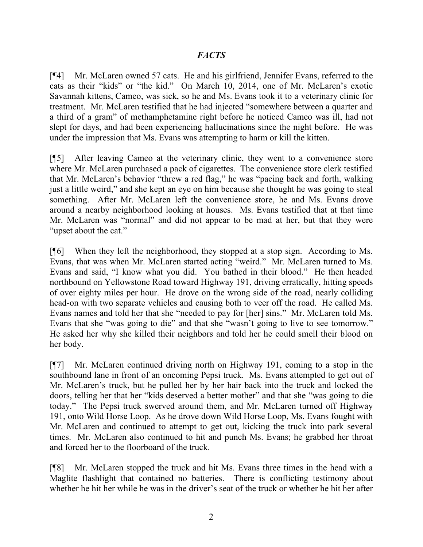### *FACTS*

[¶4] Mr. McLaren owned 57 cats. He and his girlfriend, Jennifer Evans, referred to the cats as their "kids" or "the kid." On March 10, 2014, one of Mr. McLaren's exotic Savannah kittens, Cameo, was sick, so he and Ms. Evans took it to a veterinary clinic for treatment. Mr. McLaren testified that he had injected "somewhere between a quarter and a third of a gram" of methamphetamine right before he noticed Cameo was ill, had not slept for days, and had been experiencing hallucinations since the night before. He was under the impression that Ms. Evans was attempting to harm or kill the kitten.

[¶5] After leaving Cameo at the veterinary clinic, they went to a convenience store where Mr. McLaren purchased a pack of cigarettes. The convenience store clerk testified that Mr. McLaren's behavior "threw a red flag," he was "pacing back and forth, walking just a little weird," and she kept an eye on him because she thought he was going to steal something. After Mr. McLaren left the convenience store, he and Ms. Evans drove around a nearby neighborhood looking at houses. Ms. Evans testified that at that time Mr. McLaren was "normal" and did not appear to be mad at her, but that they were "upset about the cat."

[¶6] When they left the neighborhood, they stopped at a stop sign. According to Ms. Evans, that was when Mr. McLaren started acting "weird." Mr. McLaren turned to Ms. Evans and said, "I know what you did. You bathed in their blood." He then headed northbound on Yellowstone Road toward Highway 191, driving erratically, hitting speeds of over eighty miles per hour. He drove on the wrong side of the road, nearly colliding head-on with two separate vehicles and causing both to veer off the road. He called Ms. Evans names and told her that she "needed to pay for [her] sins." Mr. McLaren told Ms. Evans that she "was going to die" and that she "wasn't going to live to see tomorrow." He asked her why she killed their neighbors and told her he could smell their blood on her body.

[¶7] Mr. McLaren continued driving north on Highway 191, coming to a stop in the southbound lane in front of an oncoming Pepsi truck. Ms. Evans attempted to get out of Mr. McLaren's truck, but he pulled her by her hair back into the truck and locked the doors, telling her that her "kids deserved a better mother" and that she "was going to die today." The Pepsi truck swerved around them, and Mr. McLaren turned off Highway 191, onto Wild Horse Loop. As he drove down Wild Horse Loop, Ms. Evans fought with Mr. McLaren and continued to attempt to get out, kicking the truck into park several times. Mr. McLaren also continued to hit and punch Ms. Evans; he grabbed her throat and forced her to the floorboard of the truck.

[¶8] Mr. McLaren stopped the truck and hit Ms. Evans three times in the head with a Maglite flashlight that contained no batteries. There is conflicting testimony about whether he hit her while he was in the driver's seat of the truck or whether he hit her after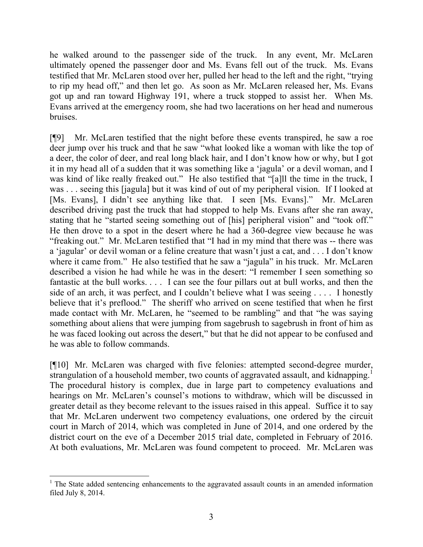he walked around to the passenger side of the truck. In any event, Mr. McLaren ultimately opened the passenger door and Ms. Evans fell out of the truck. Ms. Evans testified that Mr. McLaren stood over her, pulled her head to the left and the right, "trying to rip my head off," and then let go. As soon as Mr. McLaren released her, Ms. Evans got up and ran toward Highway 191, where a truck stopped to assist her. When Ms. Evans arrived at the emergency room, she had two lacerations on her head and numerous bruises.

[¶9] Mr. McLaren testified that the night before these events transpired, he saw a roe deer jump over his truck and that he saw "what looked like a woman with like the top of a deer, the color of deer, and real long black hair, and I don't know how or why, but I got it in my head all of a sudden that it was something like a 'jagula' or a devil woman, and I was kind of like really freaked out." He also testified that "[a]ll the time in the truck, I was . . . seeing this [jagula] but it was kind of out of my peripheral vision. If I looked at [Ms. Evans], I didn't see anything like that. I seen [Ms. Evans]." Mr. McLaren described driving past the truck that had stopped to help Ms. Evans after she ran away, stating that he "started seeing something out of [his] peripheral vision" and "took off." He then drove to a spot in the desert where he had a 360-degree view because he was "freaking out." Mr. McLaren testified that "I had in my mind that there was -- there was a 'jagular' or devil woman or a feline creature that wasn't just a cat, and . . . I don't know where it came from." He also testified that he saw a "jagula" in his truck. Mr. McLaren described a vision he had while he was in the desert: "I remember I seen something so fantastic at the bull works. . . . I can see the four pillars out at bull works, and then the side of an arch, it was perfect, and I couldn't believe what I was seeing . . . . I honestly believe that it's preflood." The sheriff who arrived on scene testified that when he first made contact with Mr. McLaren, he "seemed to be rambling" and that "he was saying something about aliens that were jumping from sagebrush to sagebrush in front of him as he was faced looking out across the desert," but that he did not appear to be confused and he was able to follow commands.

[¶10] Mr. McLaren was charged with five felonies: attempted second-degree murder, strangulation of a household member, two counts of aggravated assault, and kidnapping.<sup>1</sup> The procedural history is complex, due in large part to competency evaluations and hearings on Mr. McLaren's counsel's motions to withdraw, which will be discussed in greater detail as they become relevant to the issues raised in this appeal. Suffice it to say that Mr. McLaren underwent two competency evaluations, one ordered by the circuit court in March of 2014, which was completed in June of 2014, and one ordered by the district court on the eve of a December 2015 trial date, completed in February of 2016. At both evaluations, Mr. McLaren was found competent to proceed. Mr. McLaren was

 $\overline{a}$ 

 $1$ . The State added sentencing enhancements to the aggravated assault counts in an amended information filed July 8, 2014.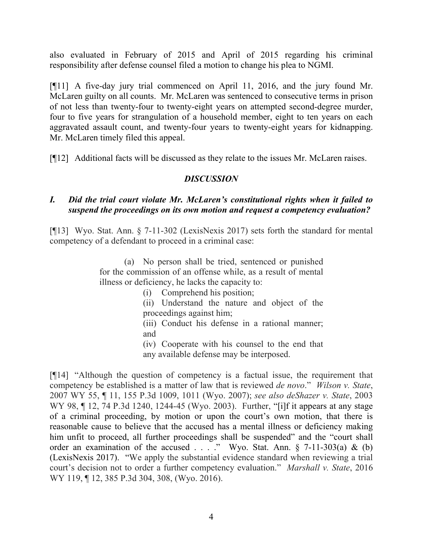also evaluated in February of 2015 and April of 2015 regarding his criminal responsibility after defense counsel filed a motion to change his plea to NGMI.

[¶11] A five-day jury trial commenced on April 11, 2016, and the jury found Mr. McLaren guilty on all counts. Mr. McLaren was sentenced to consecutive terms in prison of not less than twenty-four to twenty-eight years on attempted second-degree murder, four to five years for strangulation of a household member, eight to ten years on each aggravated assault count, and twenty-four years to twenty-eight years for kidnapping. Mr. McLaren timely filed this appeal.

[¶12] Additional facts will be discussed as they relate to the issues Mr. McLaren raises.

## *DISCUSSION*

### *I. Did the trial court violate Mr. McLaren's constitutional rights when it failed to suspend the proceedings on its own motion and request a competency evaluation?*

[¶13] Wyo. Stat. Ann. § 7-11-302 (LexisNexis 2017) sets forth the standard for mental competency of a defendant to proceed in a criminal case:

> (a) No person shall be tried, sentenced or punished for the commission of an offense while, as a result of mental illness or deficiency, he lacks the capacity to:

- (i) Comprehend his position;
- (ii) Understand the nature and object of the proceedings against him;
- (iii) Conduct his defense in a rational manner; and
- (iv) Cooperate with his counsel to the end that

any available defense may be interposed.

[¶14] "Although the question of competency is a factual issue, the requirement that competency be established is a matter of law that is reviewed *de novo*." *Wilson v. State*, 2007 WY 55, ¶ 11, 155 P.3d 1009, 1011 (Wyo. 2007); *see also deShazer v. State*, 2003 WY 98, 12, 74 P.3d 1240, 1244-45 (Wyo. 2003). Further, "[i]f it appears at any stage of a criminal proceeding, by motion or upon the court's own motion, that there is reasonable cause to believe that the accused has a mental illness or deficiency making him unfit to proceed, all further proceedings shall be suspended" and the "court shall order an examination of the accused . . . ." Wyo. Stat. Ann.  $\S$  7-11-303(a) & (b) (LexisNexis 2017). "We apply the substantial evidence standard when reviewing a trial court's decision not to order a further competency evaluation." *Marshall v. State*, 2016 WY 119, ¶ 12, 385 P.3d 304, 308, (Wyo. 2016).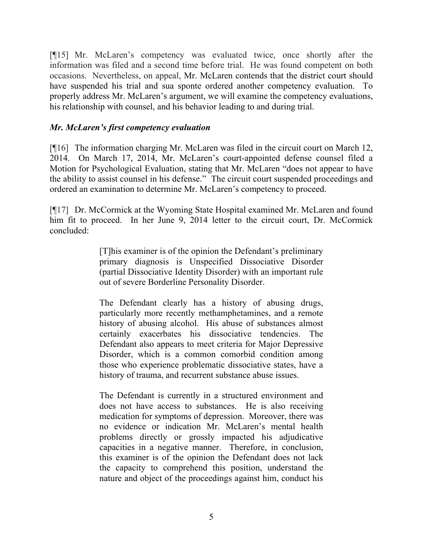[¶15] Mr. McLaren's competency was evaluated twice, once shortly after the information was filed and a second time before trial. He was found competent on both occasions. Nevertheless, on appeal, Mr. McLaren contends that the district court should have suspended his trial and sua sponte ordered another competency evaluation. To properly address Mr. McLaren's argument, we will examine the competency evaluations, his relationship with counsel, and his behavior leading to and during trial.

## *Mr. McLaren's first competency evaluation*

[¶16] The information charging Mr. McLaren was filed in the circuit court on March 12, 2014. On March 17, 2014, Mr. McLaren's court-appointed defense counsel filed a Motion for Psychological Evaluation, stating that Mr. McLaren "does not appear to have the ability to assist counsel in his defense." The circuit court suspended proceedings and ordered an examination to determine Mr. McLaren's competency to proceed.

[¶17] Dr. McCormick at the Wyoming State Hospital examined Mr. McLaren and found him fit to proceed. In her June 9, 2014 letter to the circuit court, Dr. McCormick concluded:

> [T]his examiner is of the opinion the Defendant's preliminary primary diagnosis is Unspecified Dissociative Disorder (partial Dissociative Identity Disorder) with an important rule out of severe Borderline Personality Disorder.

> The Defendant clearly has a history of abusing drugs, particularly more recently methamphetamines, and a remote history of abusing alcohol. His abuse of substances almost certainly exacerbates his dissociative tendencies. The Defendant also appears to meet criteria for Major Depressive Disorder, which is a common comorbid condition among those who experience problematic dissociative states, have a history of trauma, and recurrent substance abuse issues.

> The Defendant is currently in a structured environment and does not have access to substances. He is also receiving medication for symptoms of depression. Moreover, there was no evidence or indication Mr. McLaren's mental health problems directly or grossly impacted his adjudicative capacities in a negative manner. Therefore, in conclusion, this examiner is of the opinion the Defendant does not lack the capacity to comprehend this position, understand the nature and object of the proceedings against him, conduct his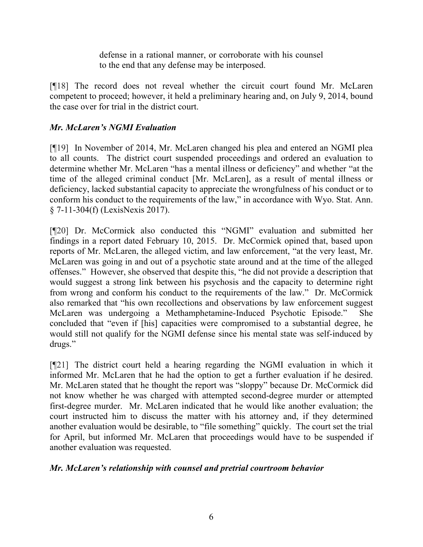defense in a rational manner, or corroborate with his counsel to the end that any defense may be interposed.

[¶18] The record does not reveal whether the circuit court found Mr. McLaren competent to proceed; however, it held a preliminary hearing and, on July 9, 2014, bound the case over for trial in the district court.

# *Mr. McLaren's NGMI Evaluation*

[¶19] In November of 2014, Mr. McLaren changed his plea and entered an NGMI plea to all counts. The district court suspended proceedings and ordered an evaluation to determine whether Mr. McLaren "has a mental illness or deficiency" and whether "at the time of the alleged criminal conduct [Mr. McLaren], as a result of mental illness or deficiency, lacked substantial capacity to appreciate the wrongfulness of his conduct or to conform his conduct to the requirements of the law," in accordance with Wyo. Stat. Ann. § 7-11-304(f) (LexisNexis 2017).

[¶20] Dr. McCormick also conducted this "NGMI" evaluation and submitted her findings in a report dated February 10, 2015. Dr. McCormick opined that, based upon reports of Mr. McLaren, the alleged victim, and law enforcement, "at the very least, Mr. McLaren was going in and out of a psychotic state around and at the time of the alleged offenses." However, she observed that despite this, "he did not provide a description that would suggest a strong link between his psychosis and the capacity to determine right from wrong and conform his conduct to the requirements of the law." Dr. McCormick also remarked that "his own recollections and observations by law enforcement suggest McLaren was undergoing a Methamphetamine-Induced Psychotic Episode." She concluded that "even if [his] capacities were compromised to a substantial degree, he would still not qualify for the NGMI defense since his mental state was self-induced by drugs."

[¶21] The district court held a hearing regarding the NGMI evaluation in which it informed Mr. McLaren that he had the option to get a further evaluation if he desired. Mr. McLaren stated that he thought the report was "sloppy" because Dr. McCormick did not know whether he was charged with attempted second-degree murder or attempted first-degree murder. Mr. McLaren indicated that he would like another evaluation; the court instructed him to discuss the matter with his attorney and, if they determined another evaluation would be desirable, to "file something" quickly. The court set the trial for April, but informed Mr. McLaren that proceedings would have to be suspended if another evaluation was requested.

# *Mr. McLaren's relationship with counsel and pretrial courtroom behavior*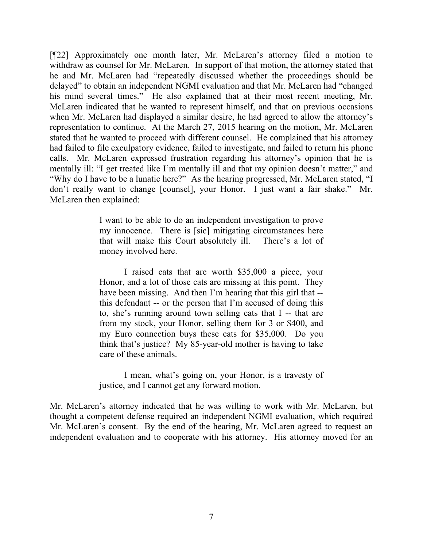[¶22] Approximately one month later, Mr. McLaren's attorney filed a motion to withdraw as counsel for Mr. McLaren. In support of that motion, the attorney stated that he and Mr. McLaren had "repeatedly discussed whether the proceedings should be delayed" to obtain an independent NGMI evaluation and that Mr. McLaren had "changed his mind several times." He also explained that at their most recent meeting, Mr. McLaren indicated that he wanted to represent himself, and that on previous occasions when Mr. McLaren had displayed a similar desire, he had agreed to allow the attorney's representation to continue. At the March 27, 2015 hearing on the motion, Mr. McLaren stated that he wanted to proceed with different counsel. He complained that his attorney had failed to file exculpatory evidence, failed to investigate, and failed to return his phone calls. Mr. McLaren expressed frustration regarding his attorney's opinion that he is mentally ill: "I get treated like I'm mentally ill and that my opinion doesn't matter," and "Why do I have to be a lunatic here?" As the hearing progressed, Mr. McLaren stated, "I don't really want to change [counsel], your Honor. I just want a fair shake." Mr. McLaren then explained:

> I want to be able to do an independent investigation to prove my innocence. There is [sic] mitigating circumstances here that will make this Court absolutely ill. There's a lot of money involved here.

> I raised cats that are worth \$35,000 a piece, your Honor, and a lot of those cats are missing at this point. They have been missing. And then I'm hearing that this girl that -this defendant -- or the person that I'm accused of doing this to, she's running around town selling cats that I -- that are from my stock, your Honor, selling them for 3 or \$400, and my Euro connection buys these cats for \$35,000. Do you think that's justice? My 85-year-old mother is having to take care of these animals.

> I mean, what's going on, your Honor, is a travesty of justice, and I cannot get any forward motion.

Mr. McLaren's attorney indicated that he was willing to work with Mr. McLaren, but thought a competent defense required an independent NGMI evaluation, which required Mr. McLaren's consent. By the end of the hearing, Mr. McLaren agreed to request an independent evaluation and to cooperate with his attorney. His attorney moved for an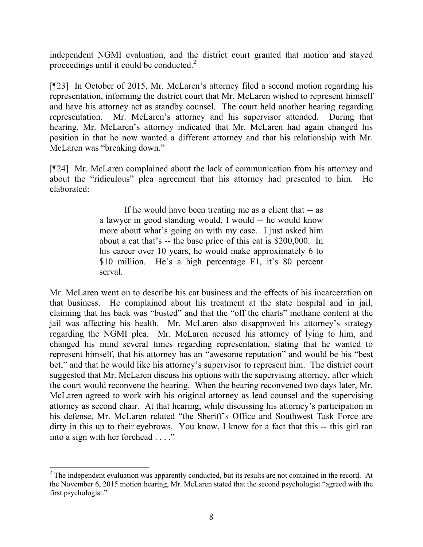independent NGMI evaluation, and the district court granted that motion and stayed proceedings until it could be conducted. $2$ 

[¶23] In October of 2015, Mr. McLaren's attorney filed a second motion regarding his representation, informing the district court that Mr. McLaren wished to represent himself and have his attorney act as standby counsel. The court held another hearing regarding representation. Mr. McLaren's attorney and his supervisor attended. During that hearing, Mr. McLaren's attorney indicated that Mr. McLaren had again changed his position in that he now wanted a different attorney and that his relationship with Mr. McLaren was "breaking down."

[¶24] Mr. McLaren complained about the lack of communication from his attorney and about the "ridiculous" plea agreement that his attorney had presented to him. He elaborated:

> If he would have been treating me as a client that -- as a lawyer in good standing would, I would -- he would know more about what's going on with my case. I just asked him about a cat that's -- the base price of this cat is \$200,000. In his career over 10 years, he would make approximately 6 to \$10 million. He's a high percentage F1, it's 80 percent serval.

Mr. McLaren went on to describe his cat business and the effects of his incarceration on that business. He complained about his treatment at the state hospital and in jail, claiming that his back was "busted" and that the "off the charts" methane content at the jail was affecting his health. Mr. McLaren also disapproved his attorney's strategy regarding the NGMI plea. Mr. McLaren accused his attorney of lying to him, and changed his mind several times regarding representation, stating that he wanted to represent himself, that his attorney has an "awesome reputation" and would be his "best bet," and that he would like his attorney's supervisor to represent him. The district court suggested that Mr. McLaren discuss his options with the supervising attorney, after which the court would reconvene the hearing. When the hearing reconvened two days later, Mr. McLaren agreed to work with his original attorney as lead counsel and the supervising attorney as second chair. At that hearing, while discussing his attorney's participation in his defense, Mr. McLaren related "the Sheriff's Office and Southwest Task Force are dirty in this up to their eyebrows. You know, I know for a fact that this -- this girl ran into a sign with her forehead . . . ."

l

<sup>&</sup>lt;sup>2</sup> The independent evaluation was apparently conducted, but its results are not contained in the record. At the November 6, 2015 motion hearing, Mr. McLaren stated that the second psychologist "agreed with the first psychologist."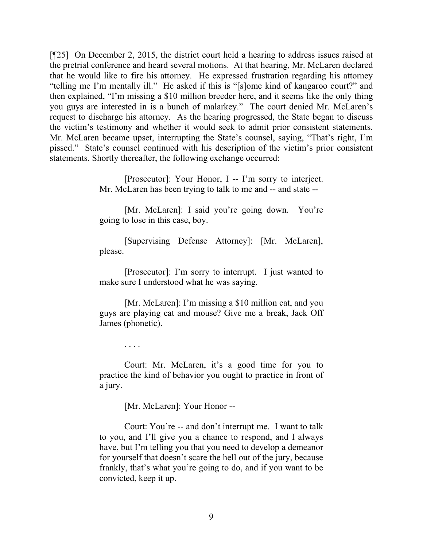[¶25] On December 2, 2015, the district court held a hearing to address issues raised at the pretrial conference and heard several motions. At that hearing, Mr. McLaren declared that he would like to fire his attorney. He expressed frustration regarding his attorney "telling me I'm mentally ill." He asked if this is "[s]ome kind of kangaroo court?" and then explained, "I'm missing a \$10 million breeder here, and it seems like the only thing you guys are interested in is a bunch of malarkey." The court denied Mr. McLaren's request to discharge his attorney. As the hearing progressed, the State began to discuss the victim's testimony and whether it would seek to admit prior consistent statements. Mr. McLaren became upset, interrupting the State's counsel, saying, "That's right, I'm pissed." State's counsel continued with his description of the victim's prior consistent statements. Shortly thereafter, the following exchange occurred:

> [Prosecutor]: Your Honor, I -- I'm sorry to interject. Mr. McLaren has been trying to talk to me and -- and state --

> [Mr. McLaren]: I said you're going down. You're going to lose in this case, boy.

> [Supervising Defense Attorney]: [Mr. McLaren], please.

> [Prosecutor]: I'm sorry to interrupt. I just wanted to make sure I understood what he was saying.

> [Mr. McLaren]: I'm missing a \$10 million cat, and you guys are playing cat and mouse? Give me a break, Jack Off James (phonetic).

> > . . . .

Court: Mr. McLaren, it's a good time for you to practice the kind of behavior you ought to practice in front of a jury.

[Mr. McLaren]: Your Honor --

Court: You're -- and don't interrupt me. I want to talk to you, and I'll give you a chance to respond, and I always have, but I'm telling you that you need to develop a demeanor for yourself that doesn't scare the hell out of the jury, because frankly, that's what you're going to do, and if you want to be convicted, keep it up.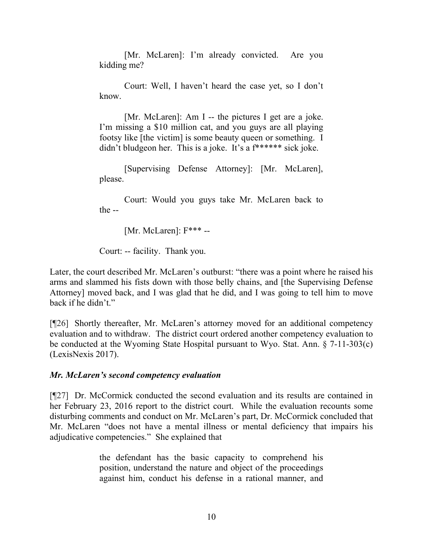[Mr. McLaren]: I'm already convicted. Are you kidding me?

Court: Well, I haven't heard the case yet, so I don't know.

[Mr. McLaren]: Am I -- the pictures I get are a joke. I'm missing a \$10 million cat, and you guys are all playing footsy like [the victim] is some beauty queen or something. I didn't bludgeon her. This is a joke. It's a f\*\*\*\*\*\* sick joke.

[Supervising Defense Attorney]: [Mr. McLaren], please.

Court: Would you guys take Mr. McLaren back to the --

[Mr. McLaren]: F\*\*\* --

Court: -- facility. Thank you.

Later, the court described Mr. McLaren's outburst: "there was a point where he raised his arms and slammed his fists down with those belly chains, and [the Supervising Defense Attorney] moved back, and I was glad that he did, and I was going to tell him to move back if he didn't."

[¶26] Shortly thereafter, Mr. McLaren's attorney moved for an additional competency evaluation and to withdraw. The district court ordered another competency evaluation to be conducted at the Wyoming State Hospital pursuant to Wyo. Stat. Ann. § 7-11-303(c) (LexisNexis 2017).

# *Mr. McLaren's second competency evaluation*

[¶27] Dr. McCormick conducted the second evaluation and its results are contained in her February 23, 2016 report to the district court. While the evaluation recounts some disturbing comments and conduct on Mr. McLaren's part, Dr. McCormick concluded that Mr. McLaren "does not have a mental illness or mental deficiency that impairs his adjudicative competencies." She explained that

> the defendant has the basic capacity to comprehend his position, understand the nature and object of the proceedings against him, conduct his defense in a rational manner, and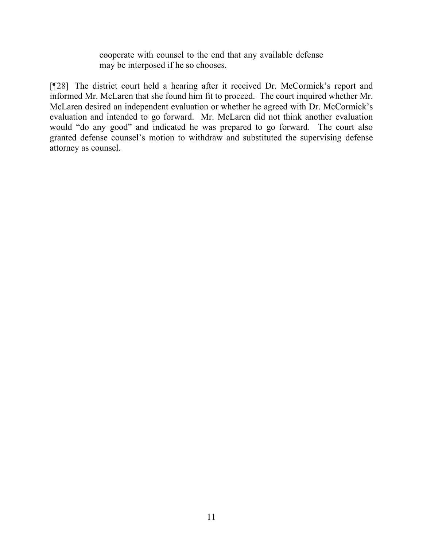cooperate with counsel to the end that any available defense may be interposed if he so chooses.

[¶28] The district court held a hearing after it received Dr. McCormick's report and informed Mr. McLaren that she found him fit to proceed. The court inquired whether Mr. McLaren desired an independent evaluation or whether he agreed with Dr. McCormick's evaluation and intended to go forward. Mr. McLaren did not think another evaluation would "do any good" and indicated he was prepared to go forward. The court also granted defense counsel's motion to withdraw and substituted the supervising defense attorney as counsel.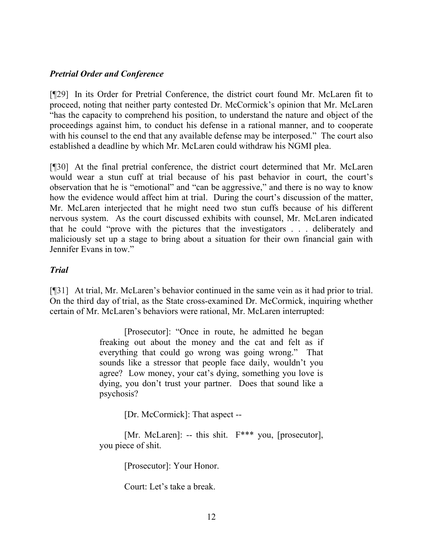### *Pretrial Order and Conference*

[¶29] In its Order for Pretrial Conference, the district court found Mr. McLaren fit to proceed, noting that neither party contested Dr. McCormick's opinion that Mr. McLaren "has the capacity to comprehend his position, to understand the nature and object of the proceedings against him, to conduct his defense in a rational manner, and to cooperate with his counsel to the end that any available defense may be interposed." The court also established a deadline by which Mr. McLaren could withdraw his NGMI plea.

[¶30] At the final pretrial conference, the district court determined that Mr. McLaren would wear a stun cuff at trial because of his past behavior in court, the court's observation that he is "emotional" and "can be aggressive," and there is no way to know how the evidence would affect him at trial. During the court's discussion of the matter, Mr. McLaren interjected that he might need two stun cuffs because of his different nervous system. As the court discussed exhibits with counsel, Mr. McLaren indicated that he could "prove with the pictures that the investigators . . . deliberately and maliciously set up a stage to bring about a situation for their own financial gain with Jennifer Evans in tow."

### *Trial*

[¶31] At trial, Mr. McLaren's behavior continued in the same vein as it had prior to trial. On the third day of trial, as the State cross-examined Dr. McCormick, inquiring whether certain of Mr. McLaren's behaviors were rational, Mr. McLaren interrupted:

> [Prosecutor]: "Once in route, he admitted he began freaking out about the money and the cat and felt as if everything that could go wrong was going wrong." That sounds like a stressor that people face daily, wouldn't you agree? Low money, your cat's dying, something you love is dying, you don't trust your partner. Does that sound like a psychosis?

> > [Dr. McCormick]: That aspect --

[Mr. McLaren]: -- this shit. F\*\*\* you, [prosecutor], you piece of shit.

[Prosecutor]: Your Honor.

Court: Let's take a break.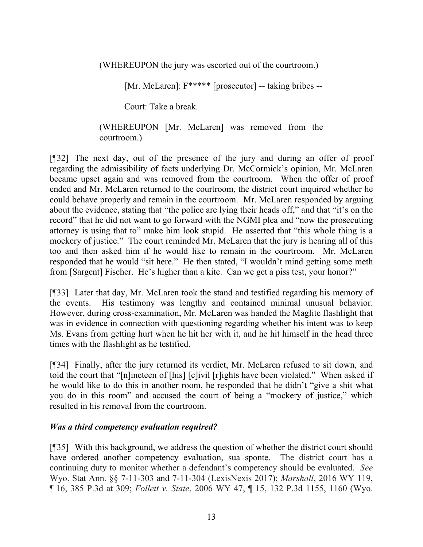(WHEREUPON the jury was escorted out of the courtroom.)

[Mr. McLaren]: F\*\*\*\*\* [prosecutor] -- taking bribes --

Court: Take a break.

### (WHEREUPON [Mr. McLaren] was removed from the courtroom.)

[¶32] The next day, out of the presence of the jury and during an offer of proof regarding the admissibility of facts underlying Dr. McCormick's opinion, Mr. McLaren became upset again and was removed from the courtroom. When the offer of proof ended and Mr. McLaren returned to the courtroom, the district court inquired whether he could behave properly and remain in the courtroom. Mr. McLaren responded by arguing about the evidence, stating that "the police are lying their heads off," and that "it's on the record" that he did not want to go forward with the NGMI plea and "now the prosecuting attorney is using that to" make him look stupid. He asserted that "this whole thing is a mockery of justice." The court reminded Mr. McLaren that the jury is hearing all of this too and then asked him if he would like to remain in the courtroom. Mr. McLaren responded that he would "sit here." He then stated, "I wouldn't mind getting some meth from [Sargent] Fischer. He's higher than a kite. Can we get a piss test, your honor?"

[¶33] Later that day, Mr. McLaren took the stand and testified regarding his memory of the events. His testimony was lengthy and contained minimal unusual behavior. However, during cross-examination, Mr. McLaren was handed the Maglite flashlight that was in evidence in connection with questioning regarding whether his intent was to keep Ms. Evans from getting hurt when he hit her with it, and he hit himself in the head three times with the flashlight as he testified.

[¶34] Finally, after the jury returned its verdict, Mr. McLaren refused to sit down, and told the court that "[n]ineteen of [his] [c]ivil [r]ights have been violated." When asked if he would like to do this in another room, he responded that he didn't "give a shit what you do in this room" and accused the court of being a "mockery of justice," which resulted in his removal from the courtroom.

# *Was a third competency evaluation required?*

[¶35] With this background, we address the question of whether the district court should have ordered another competency evaluation, sua sponte. The district court has a continuing duty to monitor whether a defendant's competency should be evaluated. *See*  Wyo. Stat Ann. §§ 7-11-303 and 7-11-304 (LexisNexis 2017); *Marshall*, 2016 WY 119, ¶ 16, 385 P.3d at 309; *Follett v. State*, 2006 WY 47, ¶ 15, 132 P.3d 1155, 1160 (Wyo.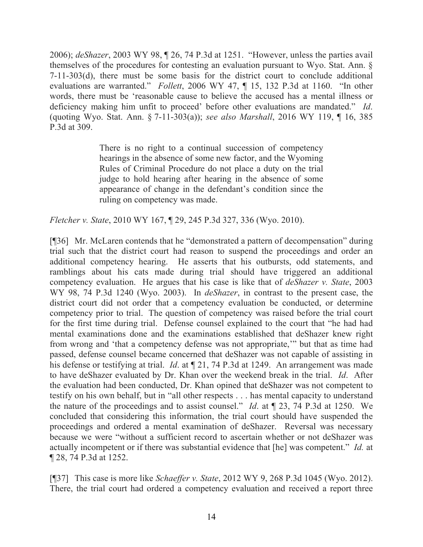2006); *deShazer*, 2003 WY 98, ¶ 26, 74 P.3d at 1251. "However, unless the parties avail themselves of the procedures for contesting an evaluation pursuant to Wyo. Stat. Ann. § 7-11-303(d), there must be some basis for the district court to conclude additional evaluations are warranted." *Follett*, 2006 WY 47, ¶ 15, 132 P.3d at 1160. "In other words, there must be 'reasonable cause to believe the accused has a mental illness or deficiency making him unfit to proceed' before other evaluations are mandated." *Id*. (quoting Wyo. Stat. Ann. § 7-11-303(a)); *see also Marshall*, 2016 WY 119, ¶ 16, 385 P.3d at 309.

> There is no right to a continual succession of competency hearings in the absence of some new factor, and the Wyoming Rules of Criminal Procedure do not place a duty on the trial judge to hold hearing after hearing in the absence of some appearance of change in the defendant's condition since the ruling on competency was made.

*Fletcher v. State*, 2010 WY 167, ¶ 29, 245 P.3d 327, 336 (Wyo. 2010).

[¶36] Mr. McLaren contends that he "demonstrated a pattern of decompensation" during trial such that the district court had reason to suspend the proceedings and order an additional competency hearing. He asserts that his outbursts, odd statements, and ramblings about his cats made during trial should have triggered an additional competency evaluation. He argues that his case is like that of *deShazer v. State*, 2003 WY 98, 74 P.3d 1240 (Wyo. 2003). In *deShazer*, in contrast to the present case, the district court did not order that a competency evaluation be conducted, or determine competency prior to trial. The question of competency was raised before the trial court for the first time during trial. Defense counsel explained to the court that "he had had mental examinations done and the examinations established that deShazer knew right from wrong and 'that a competency defense was not appropriate,'" but that as time had passed, defense counsel became concerned that deShazer was not capable of assisting in his defense or testifying at trial. *Id*. at ¶ 21, 74 P.3d at 1249. An arrangement was made to have deShazer evaluated by Dr. Khan over the weekend break in the trial. *Id*. After the evaluation had been conducted, Dr. Khan opined that deShazer was not competent to testify on his own behalf, but in "all other respects . . . has mental capacity to understand the nature of the proceedings and to assist counsel." *Id*. at ¶ 23, 74 P.3d at 1250. We concluded that considering this information, the trial court should have suspended the proceedings and ordered a mental examination of deShazer. Reversal was necessary because we were "without a sufficient record to ascertain whether or not deShazer was actually incompetent or if there was substantial evidence that [he] was competent." *Id.* at ¶ 28, 74 P.3d at 1252.

[¶37] This case is more like *Schaeffer v. State*, 2012 WY 9, 268 P.3d 1045 (Wyo. 2012). There, the trial court had ordered a competency evaluation and received a report three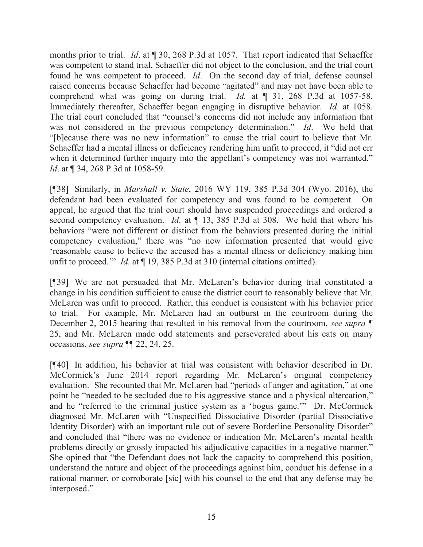months prior to trial. *Id*. at ¶ 30, 268 P.3d at 1057. That report indicated that Schaeffer was competent to stand trial, Schaeffer did not object to the conclusion, and the trial court found he was competent to proceed. *Id*. On the second day of trial, defense counsel raised concerns because Schaeffer had become "agitated" and may not have been able to comprehend what was going on during trial. *Id.* at ¶ 31, 268 P.3d at 1057-58. Immediately thereafter, Schaeffer began engaging in disruptive behavior. *Id*. at 1058. The trial court concluded that "counsel's concerns did not include any information that was not considered in the previous competency determination." *Id*. We held that "[b]ecause there was no new information" to cause the trial court to believe that Mr. Schaeffer had a mental illness or deficiency rendering him unfit to proceed, it "did not err when it determined further inquiry into the appellant's competency was not warranted." *Id.* at ¶ 34, 268 P.3d at 1058-59.

[¶38] Similarly, in *Marshall v. State*, 2016 WY 119, 385 P.3d 304 (Wyo. 2016), the defendant had been evaluated for competency and was found to be competent. On appeal, he argued that the trial court should have suspended proceedings and ordered a second competency evaluation. *Id*. at ¶ 13, 385 P.3d at 308. We held that where his behaviors "were not different or distinct from the behaviors presented during the initial competency evaluation," there was "no new information presented that would give 'reasonable cause to believe the accused has a mental illness or deficiency making him unfit to proceed.'" *Id*. at ¶ 19, 385 P.3d at 310 (internal citations omitted).

[¶39] We are not persuaded that Mr. McLaren's behavior during trial constituted a change in his condition sufficient to cause the district court to reasonably believe that Mr. McLaren was unfit to proceed. Rather, this conduct is consistent with his behavior prior to trial. For example, Mr. McLaren had an outburst in the courtroom during the December 2, 2015 hearing that resulted in his removal from the courtroom, *see supra* ¶ 25, and Mr. McLaren made odd statements and perseverated about his cats on many occasions, *see supra* ¶¶ 22, 24, 25.

[¶40] In addition, his behavior at trial was consistent with behavior described in Dr. McCormick's June 2014 report regarding Mr. McLaren's original competency evaluation. She recounted that Mr. McLaren had "periods of anger and agitation," at one point he "needed to be secluded due to his aggressive stance and a physical altercation," and he "referred to the criminal justice system as a 'bogus game.'" Dr. McCormick diagnosed Mr. McLaren with "Unspecified Dissociative Disorder (partial Dissociative Identity Disorder) with an important rule out of severe Borderline Personality Disorder" and concluded that "there was no evidence or indication Mr. McLaren's mental health problems directly or grossly impacted his adjudicative capacities in a negative manner." She opined that "the Defendant does not lack the capacity to comprehend this position, understand the nature and object of the proceedings against him, conduct his defense in a rational manner, or corroborate [sic] with his counsel to the end that any defense may be interposed."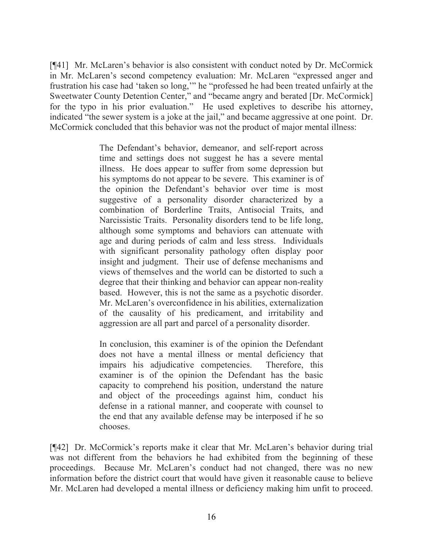[¶41] Mr. McLaren's behavior is also consistent with conduct noted by Dr. McCormick in Mr. McLaren's second competency evaluation: Mr. McLaren "expressed anger and frustration his case had 'taken so long,'" he "professed he had been treated unfairly at the Sweetwater County Detention Center," and "became angry and berated [Dr. McCormick] for the typo in his prior evaluation." He used expletives to describe his attorney, indicated "the sewer system is a joke at the jail," and became aggressive at one point. Dr. McCormick concluded that this behavior was not the product of major mental illness:

> The Defendant's behavior, demeanor, and self-report across time and settings does not suggest he has a severe mental illness. He does appear to suffer from some depression but his symptoms do not appear to be severe. This examiner is of the opinion the Defendant's behavior over time is most suggestive of a personality disorder characterized by a combination of Borderline Traits, Antisocial Traits, and Narcissistic Traits. Personality disorders tend to be life long, although some symptoms and behaviors can attenuate with age and during periods of calm and less stress. Individuals with significant personality pathology often display poor insight and judgment. Their use of defense mechanisms and views of themselves and the world can be distorted to such a degree that their thinking and behavior can appear non-reality based. However, this is not the same as a psychotic disorder. Mr. McLaren's overconfidence in his abilities, externalization of the causality of his predicament, and irritability and aggression are all part and parcel of a personality disorder.

> In conclusion, this examiner is of the opinion the Defendant does not have a mental illness or mental deficiency that impairs his adjudicative competencies. Therefore, this examiner is of the opinion the Defendant has the basic capacity to comprehend his position, understand the nature and object of the proceedings against him, conduct his defense in a rational manner, and cooperate with counsel to the end that any available defense may be interposed if he so chooses.

[¶42] Dr. McCormick's reports make it clear that Mr. McLaren's behavior during trial was not different from the behaviors he had exhibited from the beginning of these proceedings. Because Mr. McLaren's conduct had not changed, there was no new information before the district court that would have given it reasonable cause to believe Mr. McLaren had developed a mental illness or deficiency making him unfit to proceed.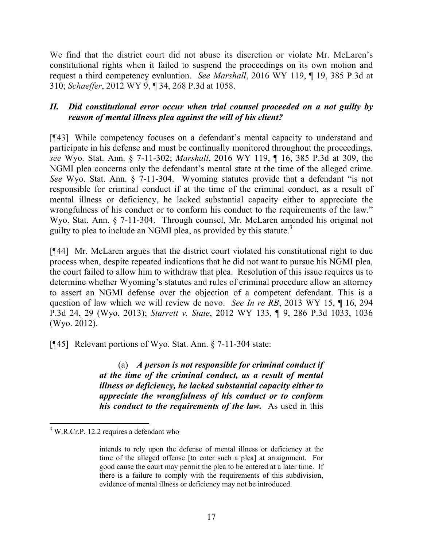We find that the district court did not abuse its discretion or violate Mr. McLaren's constitutional rights when it failed to suspend the proceedings on its own motion and request a third competency evaluation. *See Marshall*, 2016 WY 119, ¶ 19, 385 P.3d at 310; *Schaeffer*, 2012 WY 9, ¶ 34, 268 P.3d at 1058.

## *II. Did constitutional error occur when trial counsel proceeded on a not guilty by reason of mental illness plea against the will of his client?*

[¶43] While competency focuses on a defendant's mental capacity to understand and participate in his defense and must be continually monitored throughout the proceedings, *see* Wyo. Stat. Ann. § 7-11-302; *Marshall*, 2016 WY 119, ¶ 16, 385 P.3d at 309, the NGMI plea concerns only the defendant's mental state at the time of the alleged crime. *See* Wyo. Stat. Ann. § 7-11-304. Wyoming statutes provide that a defendant "is not responsible for criminal conduct if at the time of the criminal conduct, as a result of mental illness or deficiency, he lacked substantial capacity either to appreciate the wrongfulness of his conduct or to conform his conduct to the requirements of the law." Wyo. Stat. Ann. § 7-11-304. Through counsel, Mr. McLaren amended his original not guilty to plea to include an NGMI plea, as provided by this statute.<sup>3</sup>

[¶44] Mr. McLaren argues that the district court violated his constitutional right to due process when, despite repeated indications that he did not want to pursue his NGMI plea, the court failed to allow him to withdraw that plea. Resolution of this issue requires us to determine whether Wyoming's statutes and rules of criminal procedure allow an attorney to assert an NGMI defense over the objection of a competent defendant. This is a question of law which we will review de novo. *See In re RB*, 2013 WY 15, ¶ 16, 294 P.3d 24, 29 (Wyo. 2013); *Starrett v. State*, 2012 WY 133, ¶ 9, 286 P.3d 1033, 1036 (Wyo. 2012).

[¶45] Relevant portions of Wyo. Stat. Ann. § 7-11-304 state:

(a) *A person is not responsible for criminal conduct if at the time of the criminal conduct, as a result of mental illness or deficiency, he lacked substantial capacity either to appreciate the wrongfulness of his conduct or to conform his conduct to the requirements of the law.* As used in this

l

<sup>&</sup>lt;sup>3</sup> W.R.Cr.P. 12.2 requires a defendant who

intends to rely upon the defense of mental illness or deficiency at the time of the alleged offense [to enter such a plea] at arraignment. For good cause the court may permit the plea to be entered at a later time. If there is a failure to comply with the requirements of this subdivision, evidence of mental illness or deficiency may not be introduced.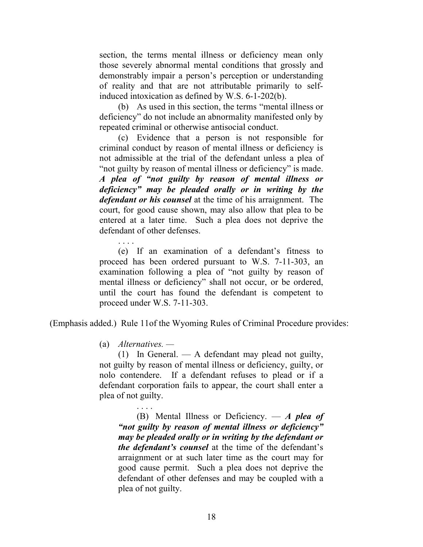section, the terms mental illness or deficiency mean only those severely abnormal mental conditions that grossly and demonstrably impair a person's perception or understanding of reality and that are not attributable primarily to selfinduced intoxication as defined by W.S. 6-1-202(b).

(b) As used in this section, the terms "mental illness or deficiency" do not include an abnormality manifested only by repeated criminal or otherwise antisocial conduct.

(c) Evidence that a person is not responsible for criminal conduct by reason of mental illness or deficiency is not admissible at the trial of the defendant unless a plea of "not guilty by reason of mental illness or deficiency" is made. *A plea of "not guilty by reason of mental illness or deficiency" may be pleaded orally or in writing by the defendant or his counsel* at the time of his arraignment. The court, for good cause shown, may also allow that plea to be entered at a later time. Such a plea does not deprive the defendant of other defenses.

. . . . (e) If an examination of a defendant's fitness to proceed has been ordered pursuant to W.S. 7-11-303, an examination following a plea of "not guilty by reason of mental illness or deficiency" shall not occur, or be ordered, until the court has found the defendant is competent to proceed under W.S. 7-11-303.

(Emphasis added.) Rule 11of the Wyoming Rules of Criminal Procedure provides:

(a) *Alternatives. —*

(1) In General. — A defendant may plead not guilty, not guilty by reason of mental illness or deficiency, guilty, or nolo contendere. If a defendant refuses to plead or if a defendant corporation fails to appear, the court shall enter a plea of not guilty.

. . . . (B) Mental Illness or Deficiency. — *A plea of "not guilty by reason of mental illness or deficiency" may be pleaded orally or in writing by the defendant or the defendant's counsel* at the time of the defendant's arraignment or at such later time as the court may for good cause permit. Such a plea does not deprive the defendant of other defenses and may be coupled with a plea of not guilty.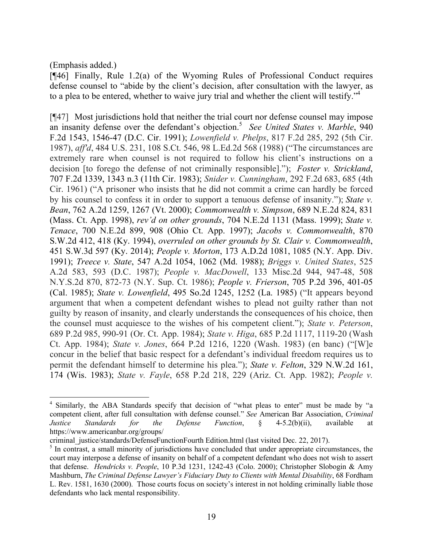(Emphasis added.)

[¶46] Finally, Rule 1.2(a) of the Wyoming Rules of Professional Conduct requires defense counsel to "abide by the client's decision, after consultation with the lawyer, as to a plea to be entered, whether to waive jury trial and whether the client will testify."<sup>4</sup>

[¶47] Most jurisdictions hold that neither the trial court nor defense counsel may impose an insanity defense over the defendant's objection.<sup>5</sup> See United States v. Marble, 940 F.2d 1543, 1546-47 (D.C. Cir. 1991); *Lowenfield v. Phelps*, 817 F.2d 285, 292 (5th Cir. 1987), *aff'd*, 484 U.S. 231, 108 S.Ct. 546, 98 L.Ed.2d 568 (1988) ("The circumstances are extremely rare when counsel is not required to follow his client's instructions on a decision [to forego the defense of not criminally responsible]."); *Foster v. Strickland*, 707 F.2d 1339, 1343 n.3 (11th Cir. 1983); *Snider v. Cunningham*, 292 F.2d 683, 685 (4th Cir. 1961) ("A prisoner who insists that he did not commit a crime can hardly be forced by his counsel to confess it in order to support a tenuous defense of insanity."); *State v. Bean*, 762 A.2d 1259, 1267 (Vt. 2000); *Commonwealth v. Simpson*, 689 N.E.2d 824, 831 (Mass. Ct. App. 1998), *rev'd on other grounds*, 704 N.E.2d 1131 (Mass. 1999); *State v. Tenace*, 700 N.E.2d 899, 908 (Ohio Ct. App. 1997); *Jacobs v. Commonwealth*, 870 S.W.2d 412, 418 (Ky. 1994), *overruled on other grounds by St. Clair v. Commonwealth*, 451 S.W.3d 597 (Ky. 2014); *People v. Morton*, 173 A.D.2d 1081, 1085 (N.Y. App. Div. 1991); *Treece v. State*, 547 A.2d 1054, 1062 (Md. 1988); *Briggs v. United States*, 525 A.2d 583, 593 (D.C. 1987); *People v. MacDowell*, 133 Misc.2d 944, 947-48, 508 N.Y.S.2d 870, 872-73 (N.Y. Sup. Ct. 1986); *People v. Frierson*, 705 P.2d 396, 401-05 (Cal. 1985); *State v. Lowenfield*, 495 So.2d 1245, 1252 (La. 1985) ("It appears beyond argument that when a competent defendant wishes to plead not guilty rather than not guilty by reason of insanity, and clearly understands the consequences of his choice, then the counsel must acquiesce to the wishes of his competent client."); *State v. Peterson*, 689 P.2d 985, 990-91 (Or. Ct. App. 1984); *State v. Higa*, 685 P.2d 1117, 1119-20 (Wash Ct. App. 1984); *State v. Jones*, 664 P.2d 1216, 1220 (Wash. 1983) (en banc) ("[W]e concur in the belief that basic respect for a defendant's individual freedom requires us to permit the defendant himself to determine his plea."); *State v. Felton*, 329 N.W.2d 161, 174 (Wis. 1983); *State v. Fayle*, 658 P.2d 218, 229 (Ariz. Ct. App. 1982); *People v.* 

 4 Similarly, the ABA Standards specify that decision of "what pleas to enter" must be made by "a competent client, after full consultation with defense counsel." *See* American Bar Association, *Criminal Justice Standards for the Defense Function*, § 4-5.2(b)(ii), available at https://www.americanbar.org/groups/

criminal\_justice/standards/DefenseFunctionFourth Edition.html (last visited Dec. 22, 2017).

<sup>&</sup>lt;sup>5</sup> In contrast, a small minority of jurisdictions have concluded that under appropriate circumstances, the court may interpose a defense of insanity on behalf of a competent defendant who does not wish to assert that defense. *Hendricks v. People*, 10 P.3d 1231, 1242-43 (Colo. 2000); Christopher Slobogin & Amy Mashburn, *The Criminal Defense Lawyer's Fiduciary Duty to Clients with Mental Disability*, 68 Fordham L. Rev. 1581, 1630 (2000). Those courts focus on society's interest in not holding criminally liable those defendants who lack mental responsibility.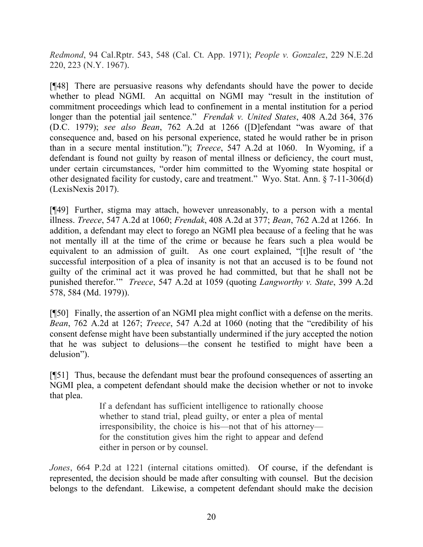*Redmond*, 94 Cal.Rptr. 543, 548 (Cal. Ct. App. 1971); *People v. Gonzalez*, 229 N.E.2d 220, 223 (N.Y. 1967).

[¶48] There are persuasive reasons why defendants should have the power to decide whether to plead NGMI. An acquittal on NGMI may "result in the institution of commitment proceedings which lead to confinement in a mental institution for a period longer than the potential jail sentence." *Frendak v. United States*, 408 A.2d 364, 376 (D.C. 1979); *see also Bean*, 762 A.2d at 1266 ([D]efendant "was aware of that consequence and, based on his personal experience, stated he would rather be in prison than in a secure mental institution."); *Treece*, 547 A.2d at 1060. In Wyoming, if a defendant is found not guilty by reason of mental illness or deficiency, the court must, under certain circumstances, "order him committed to the Wyoming state hospital or other designated facility for custody, care and treatment." Wyo. Stat. Ann. § 7-11-306(d) (LexisNexis 2017).

[¶49] Further, stigma may attach, however unreasonably, to a person with a mental illness. *Treece*, 547 A.2d at 1060; *Frendak*, 408 A.2d at 377; *Bean*, 762 A.2d at 1266. In addition, a defendant may elect to forego an NGMI plea because of a feeling that he was not mentally ill at the time of the crime or because he fears such a plea would be equivalent to an admission of guilt. As one court explained, "[t]he result of 'the successful interposition of a plea of insanity is not that an accused is to be found not guilty of the criminal act it was proved he had committed, but that he shall not be punished therefor.'" *Treece*, 547 A.2d at 1059 (quoting *Langworthy v. State*, 399 A.2d 578, 584 (Md. 1979)).

[¶50] Finally, the assertion of an NGMI plea might conflict with a defense on the merits. *Bean*, 762 A.2d at 1267; *Treece*, 547 A.2d at 1060 (noting that the "credibility of his consent defense might have been substantially undermined if the jury accepted the notion that he was subject to delusions—the consent he testified to might have been a delusion").

[¶51] Thus, because the defendant must bear the profound consequences of asserting an NGMI plea, a competent defendant should make the decision whether or not to invoke that plea.

> If a defendant has sufficient intelligence to rationally choose whether to stand trial, plead guilty, or enter a plea of mental irresponsibility, the choice is his—not that of his attorney for the constitution gives him the right to appear and defend either in person or by counsel.

*Jones*, 664 P.2d at 1221 (internal citations omitted). Of course, if the defendant is represented, the decision should be made after consulting with counsel. But the decision belongs to the defendant. Likewise, a competent defendant should make the decision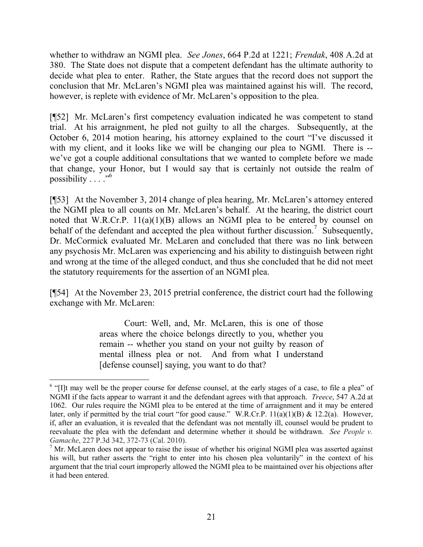whether to withdraw an NGMI plea. *See Jones*, 664 P.2d at 1221; *Frendak*, 408 A.2d at 380. The State does not dispute that a competent defendant has the ultimate authority to decide what plea to enter. Rather, the State argues that the record does not support the conclusion that Mr. McLaren's NGMI plea was maintained against his will. The record, however, is replete with evidence of Mr. McLaren's opposition to the plea.

[¶52] Mr. McLaren's first competency evaluation indicated he was competent to stand trial. At his arraignment, he pled not guilty to all the charges. Subsequently, at the October 6, 2014 motion hearing, his attorney explained to the court "I've discussed it with my client, and it looks like we will be changing our plea to NGMI. There is - we've got a couple additional consultations that we wanted to complete before we made that change, your Honor, but I would say that is certainly not outside the realm of possibility . . . ."<sup>6</sup>

[¶53] At the November 3, 2014 change of plea hearing, Mr. McLaren's attorney entered the NGMI plea to all counts on Mr. McLaren's behalf. At the hearing, the district court noted that W.R.Cr.P. 11(a)(1)(B) allows an NGMI plea to be entered by counsel on behalf of the defendant and accepted the plea without further discussion.<sup>7</sup> Subsequently, Dr. McCormick evaluated Mr. McLaren and concluded that there was no link between any psychosis Mr. McLaren was experiencing and his ability to distinguish between right and wrong at the time of the alleged conduct, and thus she concluded that he did not meet the statutory requirements for the assertion of an NGMI plea.

[¶54] At the November 23, 2015 pretrial conference, the district court had the following exchange with Mr. McLaren:

> Court: Well, and, Mr. McLaren, this is one of those areas where the choice belongs directly to you, whether you remain -- whether you stand on your not guilty by reason of mental illness plea or not. And from what I understand [defense counsel] saying, you want to do that?

 $\overline{a}$ 

 $<sup>6</sup>$  "[I]t may well be the proper course for defense counsel, at the early stages of a case, to file a plea" of</sup> NGMI if the facts appear to warrant it and the defendant agrees with that approach. *Treece*, 547 A.2d at 1062. Our rules require the NGMI plea to be entered at the time of arraignment and it may be entered later, only if permitted by the trial court "for good cause." W.R.Cr.P. 11(a)(1)(B) & 12.2(a). However, if, after an evaluation, it is revealed that the defendant was not mentally ill, counsel would be prudent to reevaluate the plea with the defendant and determine whether it should be withdrawn. *See People v. Gamache*, 227 P.3d 342, 372-73 (Cal. 2010).

<sup>7</sup> Mr. McLaren does not appear to raise the issue of whether his original NGMI plea was asserted against his will, but rather asserts the "right to enter into his chosen plea voluntarily" in the context of his argument that the trial court improperly allowed the NGMI plea to be maintained over his objections after it had been entered.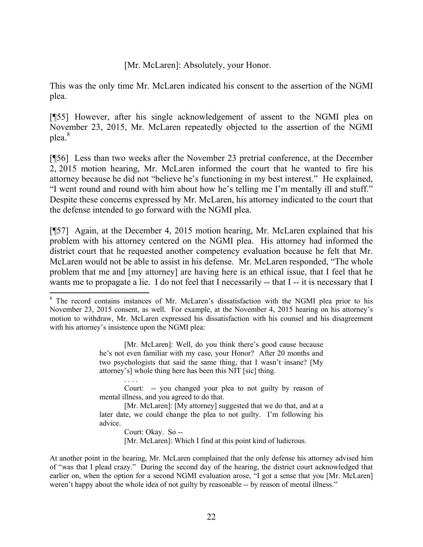[Mr. McLaren]: Absolutely, your Honor.

This was the only time Mr. McLaren indicated his consent to the assertion of the NGMI plea.

[¶55] However, after his single acknowledgement of assent to the NGMI plea on November 23, 2015, Mr. McLaren repeatedly objected to the assertion of the NGMI plea.<sup>8</sup>

[¶56] Less than two weeks after the November 23 pretrial conference, at the December 2, 2015 motion hearing, Mr. McLaren informed the court that he wanted to fire his attorney because he did not "believe he's functioning in my best interest." He explained, "I went round and round with him about how he's telling me I'm mentally ill and stuff." Despite these concerns expressed by Mr. McLaren, his attorney indicated to the court that the defense intended to go forward with the NGMI plea.

[¶57] Again, at the December 4, 2015 motion hearing, Mr. McLaren explained that his problem with his attorney centered on the NGMI plea. His attorney had informed the district court that he requested another competency evaluation because he felt that Mr. McLaren would not be able to assist in his defense. Mr. McLaren responded, "The whole problem that me and [my attorney] are having here is an ethical issue, that I feel that he wants me to propagate a lie. I do not feel that I necessarily -- that I -- it is necessary that I

 $\overline{a}$ 

[Mr. McLaren]: Well, do you think there's good cause because he's not even familiar with my case, your Honor? After 20 months and two psychologists that said the same thing, that I wasn't insane? [My attorney's] whole thing here has been this NIT [sic] thing.

Court: -- you changed your plea to not guilty by reason of mental illness, and you agreed to do that.

[Mr. McLaren]: [My attorney] suggested that we do that, and at a later date, we could change the plea to not guilty. I'm following his advice.

Court: Okay. So -- [Mr. McLaren]: Which I find at this point kind of ludicrous.

At another point in the hearing, Mr. McLaren complained that the only defense his attorney advised him of "was that I plead crazy." During the second day of the hearing, the district court acknowledged that earlier on, when the option for a second NGMI evaluation arose, "I got a sense that you [Mr. McLaren] weren't happy about the whole idea of not guilty by reasonable -- by reason of mental illness."

<sup>&</sup>lt;sup>8</sup> The record contains instances of Mr. McLaren's dissatisfaction with the NGMI plea prior to his November 23, 2015 consent, as well. For example, at the November 4, 2015 hearing on his attorney's motion to withdraw, Mr. McLaren expressed his dissatisfaction with his counsel and his disagreement with his attorney's insistence upon the NGMI plea: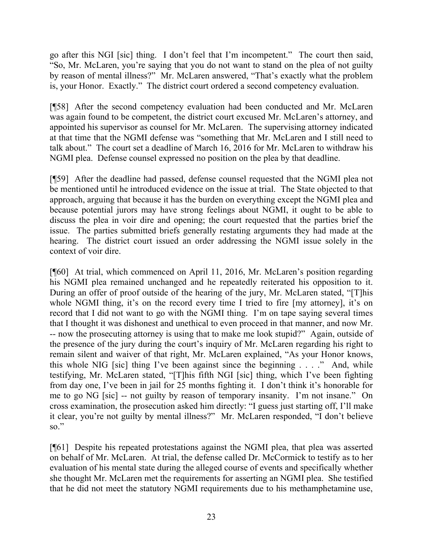go after this NGI [sic] thing. I don't feel that I'm incompetent." The court then said, "So, Mr. McLaren, you're saying that you do not want to stand on the plea of not guilty by reason of mental illness?" Mr. McLaren answered, "That's exactly what the problem is, your Honor. Exactly." The district court ordered a second competency evaluation.

[¶58] After the second competency evaluation had been conducted and Mr. McLaren was again found to be competent, the district court excused Mr. McLaren's attorney, and appointed his supervisor as counsel for Mr. McLaren. The supervising attorney indicated at that time that the NGMI defense was "something that Mr. McLaren and I still need to talk about." The court set a deadline of March 16, 2016 for Mr. McLaren to withdraw his NGMI plea. Defense counsel expressed no position on the plea by that deadline.

[¶59] After the deadline had passed, defense counsel requested that the NGMI plea not be mentioned until he introduced evidence on the issue at trial. The State objected to that approach, arguing that because it has the burden on everything except the NGMI plea and because potential jurors may have strong feelings about NGMI, it ought to be able to discuss the plea in voir dire and opening; the court requested that the parties brief the issue. The parties submitted briefs generally restating arguments they had made at the hearing. The district court issued an order addressing the NGMI issue solely in the context of voir dire.

[¶60] At trial, which commenced on April 11, 2016, Mr. McLaren's position regarding his NGMI plea remained unchanged and he repeatedly reiterated his opposition to it. During an offer of proof outside of the hearing of the jury, Mr. McLaren stated, "[T]his whole NGMI thing, it's on the record every time I tried to fire [my attorney], it's on record that I did not want to go with the NGMI thing. I'm on tape saying several times that I thought it was dishonest and unethical to even proceed in that manner, and now Mr. -- now the prosecuting attorney is using that to make me look stupid?" Again, outside of the presence of the jury during the court's inquiry of Mr. McLaren regarding his right to remain silent and waiver of that right, Mr. McLaren explained, "As your Honor knows, this whole NIG [sic] thing I've been against since the beginning . . . ." And, while testifying, Mr. McLaren stated, "[T]his fifth NGI [sic] thing, which I've been fighting from day one, I've been in jail for 25 months fighting it. I don't think it's honorable for me to go NG [sic] -- not guilty by reason of temporary insanity. I'm not insane." On cross examination, the prosecution asked him directly: "I guess just starting off, I'll make it clear, you're not guilty by mental illness?" Mr. McLaren responded, "I don't believe so."

[¶61] Despite his repeated protestations against the NGMI plea, that plea was asserted on behalf of Mr. McLaren. At trial, the defense called Dr. McCormick to testify as to her evaluation of his mental state during the alleged course of events and specifically whether she thought Mr. McLaren met the requirements for asserting an NGMI plea. She testified that he did not meet the statutory NGMI requirements due to his methamphetamine use,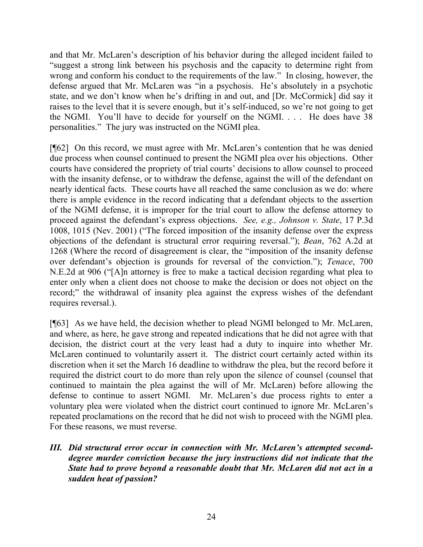and that Mr. McLaren's description of his behavior during the alleged incident failed to "suggest a strong link between his psychosis and the capacity to determine right from wrong and conform his conduct to the requirements of the law." In closing, however, the defense argued that Mr. McLaren was "in a psychosis. He's absolutely in a psychotic state, and we don't know when he's drifting in and out, and [Dr. McCormick] did say it raises to the level that it is severe enough, but it's self-induced, so we're not going to get the NGMI. You'll have to decide for yourself on the NGMI. . . . He does have 38 personalities." The jury was instructed on the NGMI plea.

[¶62] On this record, we must agree with Mr. McLaren's contention that he was denied due process when counsel continued to present the NGMI plea over his objections. Other courts have considered the propriety of trial courts' decisions to allow counsel to proceed with the insanity defense, or to withdraw the defense, against the will of the defendant on nearly identical facts. These courts have all reached the same conclusion as we do: where there is ample evidence in the record indicating that a defendant objects to the assertion of the NGMI defense, it is improper for the trial court to allow the defense attorney to proceed against the defendant's express objections. *See, e.g., Johnson v. State*, 17 P.3d 1008, 1015 (Nev. 2001) ("The forced imposition of the insanity defense over the express objections of the defendant is structural error requiring reversal."); *Bean*, 762 A.2d at 1268 (Where the record of disagreement is clear, the "imposition of the insanity defense over defendant's objection is grounds for reversal of the conviction."); *Tenace*, 700 N.E.2d at 906 ("[A]n attorney is free to make a tactical decision regarding what plea to enter only when a client does not choose to make the decision or does not object on the record;" the withdrawal of insanity plea against the express wishes of the defendant requires reversal.).

[¶63] As we have held, the decision whether to plead NGMI belonged to Mr. McLaren, and where, as here, he gave strong and repeated indications that he did not agree with that decision, the district court at the very least had a duty to inquire into whether Mr. McLaren continued to voluntarily assert it. The district court certainly acted within its discretion when it set the March 16 deadline to withdraw the plea, but the record before it required the district court to do more than rely upon the silence of counsel (counsel that continued to maintain the plea against the will of Mr. McLaren) before allowing the defense to continue to assert NGMI. Mr. McLaren's due process rights to enter a voluntary plea were violated when the district court continued to ignore Mr. McLaren's repeated proclamations on the record that he did not wish to proceed with the NGMI plea. For these reasons, we must reverse.

*III. Did structural error occur in connection with Mr. McLaren's attempted seconddegree murder conviction because the jury instructions did not indicate that the State had to prove beyond a reasonable doubt that Mr. McLaren did not act in a sudden heat of passion?*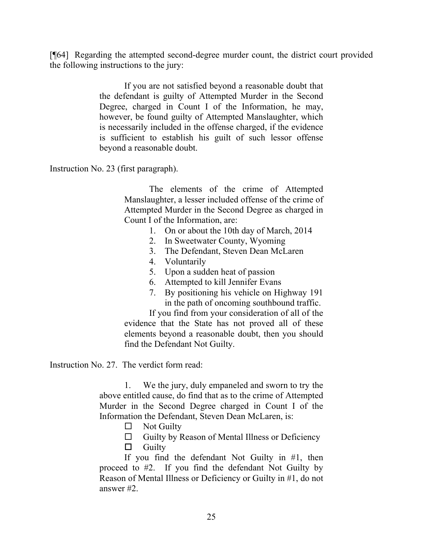[¶64] Regarding the attempted second-degree murder count, the district court provided the following instructions to the jury:

> If you are not satisfied beyond a reasonable doubt that the defendant is guilty of Attempted Murder in the Second Degree, charged in Count I of the Information, he may, however, be found guilty of Attempted Manslaughter, which is necessarily included in the offense charged, if the evidence is sufficient to establish his guilt of such lessor offense beyond a reasonable doubt.

Instruction No. 23 (first paragraph).

The elements of the crime of Attempted Manslaughter, a lesser included offense of the crime of Attempted Murder in the Second Degree as charged in Count I of the Information, are:

- 1. On or about the 10th day of March, 2014
- 2. In Sweetwater County, Wyoming
- 3. The Defendant, Steven Dean McLaren
- 4. Voluntarily
- 5. Upon a sudden heat of passion
- 6. Attempted to kill Jennifer Evans
- 7. By positioning his vehicle on Highway 191 in the path of oncoming southbound traffic.

If you find from your consideration of all of the evidence that the State has not proved all of these elements beyond a reasonable doubt, then you should find the Defendant Not Guilty.

Instruction No. 27. The verdict form read:

1. We the jury, duly empaneled and sworn to try the above entitled cause, do find that as to the crime of Attempted Murder in the Second Degree charged in Count I of the Information the Defendant, Steven Dean McLaren, is:

- $\Box$  Not Guilty
- $\Box$  Guilty by Reason of Mental Illness or Deficiency
- $\Box$  Guilty

If you find the defendant Not Guilty in #1, then proceed to #2. If you find the defendant Not Guilty by Reason of Mental Illness or Deficiency or Guilty in #1, do not answer #2.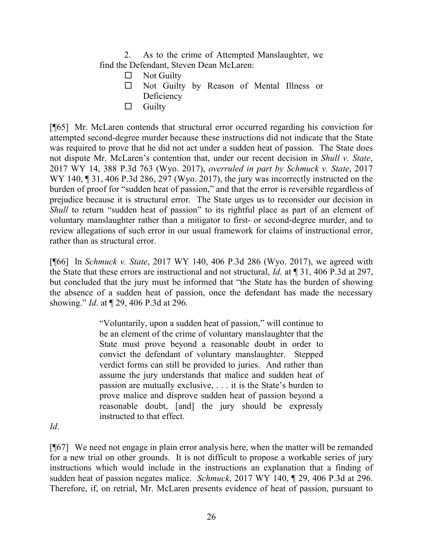2. As to the crime of Attempted Manslaughter, we find the Defendant, Steven Dean McLaren:

- $\Box$  Not Guilty
- Not Guilty by Reason of Mental Illness or **Deficiency**
- $\Box$  Guilty

[¶65] Mr. McLaren contends that structural error occurred regarding his conviction for attempted second-degree murder because these instructions did not indicate that the State was required to prove that he did not act under a sudden heat of passion. The State does not dispute Mr. McLaren's contention that, under our recent decision in *Shull v. State*, 2017 WY 14, 388 P.3d 763 (Wyo. 2017), *overruled in part by Schmuck v. State*, 2017 WY 140, 131, 406 P.3d 286, 297 (Wyo. 2017), the jury was incorrectly instructed on the burden of proof for "sudden heat of passion," and that the error is reversible regardless of prejudice because it is structural error. The State urges us to reconsider our decision in *Shull* to return "sudden heat of passion" to its rightful place as part of an element of voluntary manslaughter rather than a mitigator to first- or second-degree murder, and to review allegations of such error in our usual framework for claims of instructional error, rather than as structural error.

[¶66] In *Schmuck v. State*, 2017 WY 140, 406 P.3d 286 (Wyo. 2017), we agreed with the State that these errors are instructional and not structural, *Id*. at ¶ 31, 406 P.3d at 297, but concluded that the jury must be informed that "the State has the burden of showing the absence of a sudden heat of passion, once the defendant has made the necessary showing." *Id*. at ¶ 29, 406 P.3d at 296.

> "Voluntarily, upon a sudden heat of passion," will continue to be an element of the crime of voluntary manslaughter that the State must prove beyond a reasonable doubt in order to convict the defendant of voluntary manslaughter. Stepped verdict forms can still be provided to juries. And rather than assume the jury understands that malice and sudden heat of passion are mutually exclusive, . . . it is the State's burden to prove malice and disprove sudden heat of passion beyond a reasonable doubt, [and] the jury should be expressly instructed to that effect.

*Id*.

[¶67] We need not engage in plain error analysis here, when the matter will be remanded for a new trial on other grounds. It is not difficult to propose a workable series of jury instructions which would include in the instructions an explanation that a finding of sudden heat of passion negates malice. *Schmuck*, 2017 WY 140, ¶ 29, 406 P.3d at 296. Therefore, if, on retrial, Mr. McLaren presents evidence of heat of passion, pursuant to